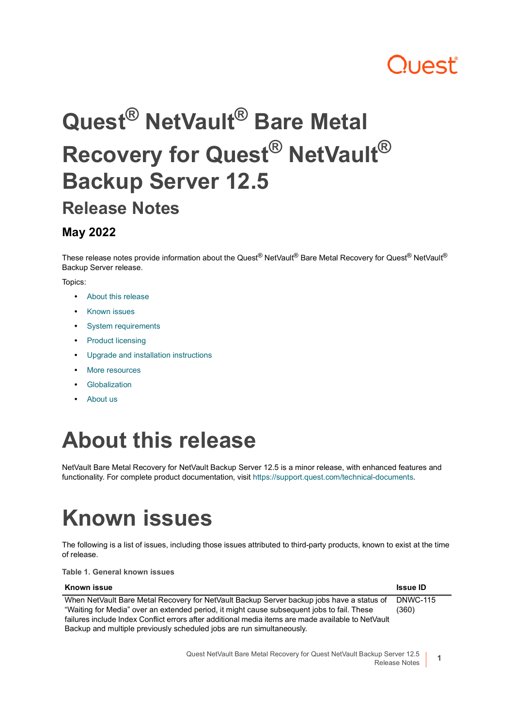# ון **באו**

# **Quest® NetVault® Bare Metal Recovery for Quest® NetVault® Backup Server 12.5 Release Notes**

#### **May 2022**

These release notes provide information about the Quest<sup>®</sup> NetVault<sup>®</sup> Bare Metal Recovery for Quest<sup>®</sup> NetVault<sup>®</sup> Backup Server release.

Topics:

- **•** [About this release](#page-0-0)
- **•** [Known issues](#page-0-1)
- **•** [System requirements](#page-1-0)
- **•** [Product licensing](#page-1-1)
- **•** [Upgrade and installation instructions](#page-2-0)
- **•** [More resources](#page-2-1)
- **•** [Globalization](#page-2-2)
- **•** [About us](#page-3-0)

## <span id="page-0-0"></span>**About this release**

NetVault Bare Metal Recovery for NetVault Backup Server 12.5 is a minor release, with enhanced features and functionality. For complete product documentation, visit [https://support.quest.com/technical-documents.](https://support.quest.com/technical-documents)

# <span id="page-0-1"></span>**Known issues**

The following is a list of issues, including those issues attributed to third-party products, known to exist at the time of release.

**Table 1. General known issues**

| Known issue                                                                                        | <b>Issue ID</b> |
|----------------------------------------------------------------------------------------------------|-----------------|
| When NetVault Bare Metal Recovery for NetVault Backup Server backup jobs have a status of          | <b>DNWC-115</b> |
| "Waiting for Media" over an extended period, it might cause subsequent jobs to fail. These         | (360)           |
| failures include Index Conflict errors after additional media items are made available to NetVault |                 |
| Backup and multiple previously scheduled jobs are run simultaneously.                              |                 |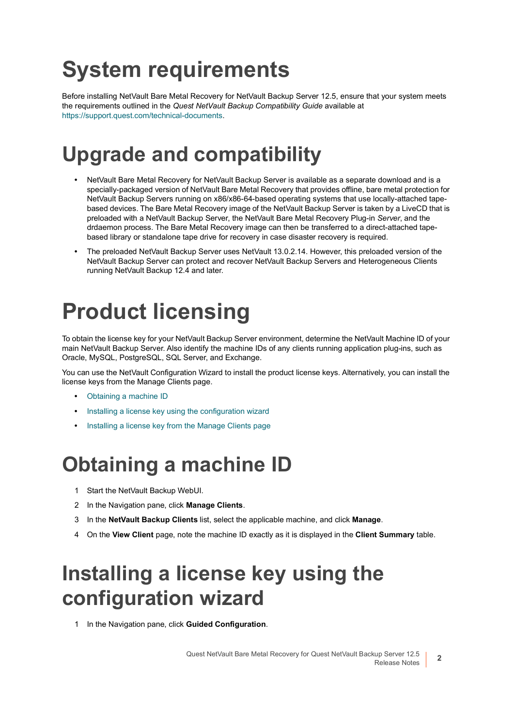# <span id="page-1-0"></span>**System requirements**

Before installing NetVault Bare Metal Recovery for NetVault Backup Server 12.5, ensure that your system meets the requirements outlined in the *Quest NetVault Backup Compatibility Guide* available at [https://support.quest.com/technical-documents.](https://support.quest.com/technical-documents)

### **Upgrade and compatibility**

- **•** NetVault Bare Metal Recovery for NetVault Backup Server is available as a separate download and is a specially-packaged version of NetVault Bare Metal Recovery that provides offline, bare metal protection for NetVault Backup Servers running on x86/x86-64-based operating systems that use locally-attached tapebased devices. The Bare Metal Recovery image of the NetVault Backup Server is taken by a LiveCD that is preloaded with a NetVault Backup Server, the NetVault Bare Metal Recovery Plug-in *Server*, and the drdaemon process. The Bare Metal Recovery image can then be transferred to a direct-attached tapebased library or standalone tape drive for recovery in case disaster recovery is required.
- **•** The preloaded NetVault Backup Server uses NetVault 13.0.2.14. However, this preloaded version of the NetVault Backup Server can protect and recover NetVault Backup Servers and Heterogeneous Clients running NetVault Backup 12.4 and later.

# <span id="page-1-1"></span>**Product licensing**

To obtain the license key for your NetVault Backup Server environment, determine the NetVault Machine ID of your main NetVault Backup Server. Also identify the machine IDs of any clients running application plug-ins, such as Oracle, MySQL, PostgreSQL, SQL Server, and Exchange.

You can use the NetVault Configuration Wizard to install the product license keys. Alternatively, you can install the license keys from the Manage Clients page.

- **•** [Obtaining a machine ID](#page-1-2)
- **•** [Installing a license key using the configuration wizard](#page-1-3)
- **•** [Installing a license key from the Manage Clients page](#page-2-3)

#### <span id="page-1-2"></span>**Obtaining a machine ID**

- 1 Start the NetVault Backup WebUI.
- 2 In the Navigation pane, click **Manage Clients**.
- 3 In the **NetVault Backup Clients** list, select the applicable machine, and click **Manage**.
- 4 On the **View Client** page, note the machine ID exactly as it is displayed in the **Client Summary** table.

### <span id="page-1-3"></span>**Installing a license key using the configuration wizard**

1 In the Navigation pane, click **Guided Configuration**.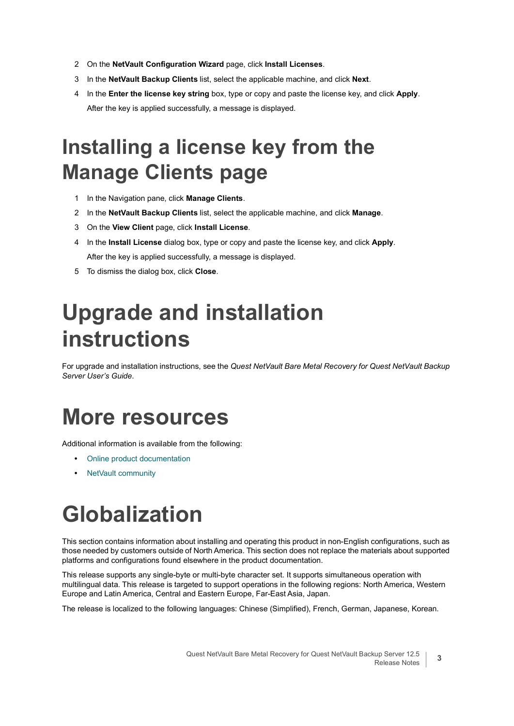- 2 On the **NetVault Configuration Wizard** page, click **Install Licenses**.
- 3 In the **NetVault Backup Clients** list, select the applicable machine, and click **Next**.
- 4 In the **Enter the license key string** box, type or copy and paste the license key, and click **Apply**. After the key is applied successfully, a message is displayed.

### <span id="page-2-3"></span>**Installing a license key from the Manage Clients page**

- 1 In the Navigation pane, click **Manage Clients**.
- 2 In the **NetVault Backup Clients** list, select the applicable machine, and click **Manage**.
- 3 On the **View Client** page, click **Install License**.
- 4 In the **Install License** dialog box, type or copy and paste the license key, and click **Apply**. After the key is applied successfully, a message is displayed.
- 5 To dismiss the dialog box, click **Close**.

## <span id="page-2-0"></span>**Upgrade and installation instructions**

For upgrade and installation instructions, see the *Quest NetVault Bare Metal Recovery for Quest NetVault Backup Server User's Guide*.

#### <span id="page-2-1"></span>**More resources**

Additional information is available from the following:

- **•** [Online product documentation](https://support.quest.com/technical-documents/)
- **•** [NetVault community](https://www.quest.com/community/products/netvault/)

# <span id="page-2-2"></span>**Globalization**

This section contains information about installing and operating this product in non-English configurations, such as those needed by customers outside of North America. This section does not replace the materials about supported platforms and configurations found elsewhere in the product documentation.

This release supports any single-byte or multi-byte character set. It supports simultaneous operation with multilingual data. This release is targeted to support operations in the following regions: North America, Western Europe and Latin America, Central and Eastern Europe, Far-East Asia, Japan.

The release is localized to the following languages: Chinese (Simplified), French, German, Japanese, Korean.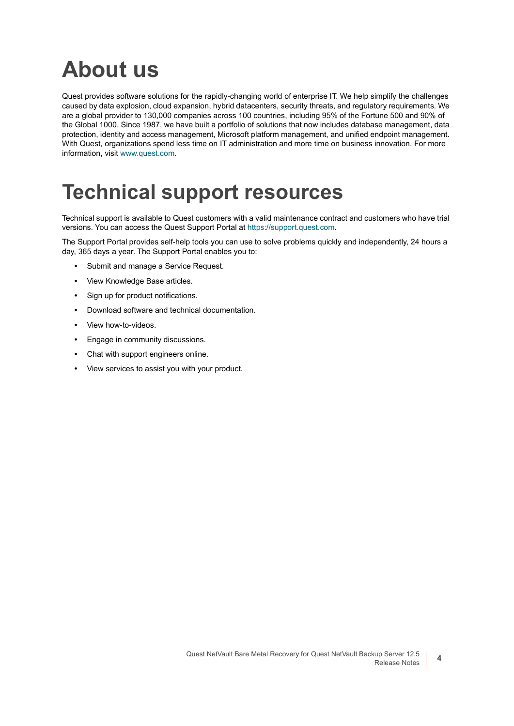## <span id="page-3-0"></span>**About us**

Quest provides software solutions for the rapidly-changing world of enterprise IT. We help simplify the challenges caused by data explosion, cloud expansion, hybrid datacenters, security threats, and regulatory requirements. We are a global provider to 130,000 companies across 100 countries, including 95% of the Fortune 500 and 90% of the Global 1000. Since 1987, we have built a portfolio of solutions that now includes database management, data protection, identity and access management, Microsoft platform management, and unified endpoint management. With Quest, organizations spend less time on IT administration and more time on business innovation. For more information, visit [www.quest.com](https://www.quest.com/company/contact-us.aspx).

#### **Technical support resources**

Technical support is available to Quest customers with a valid maintenance contract and customers who have trial versions. You can access the Quest Support Portal at [https://support.quest.com.](https://support.quest.com)

The Support Portal provides self-help tools you can use to solve problems quickly and independently, 24 hours a day, 365 days a year. The Support Portal enables you to:

- **•** Submit and manage a Service Request.
- **•** View Knowledge Base articles.
- **•** Sign up for product notifications.
- **•** Download software and technical documentation.
- **•** View how-to-videos.
- **•** Engage in community discussions.
- **•** Chat with support engineers online.
- **•** View services to assist you with your product.